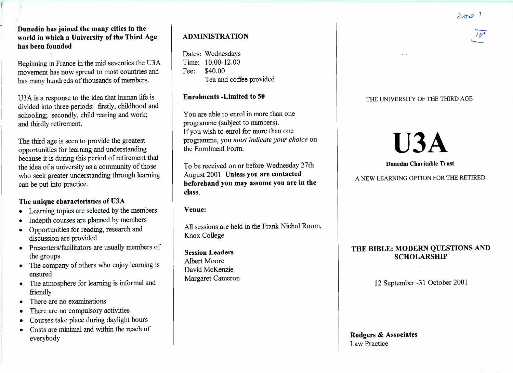$2001$ 

 $\mathcal{F}_{\mathcal{F}}$ 

**Dunedin has joined the many cities in the world in which a University of the Third Agehas been founded**

Beginning in France in the mid seventies the U3 A movement has now spread to most countries andhas many hundreds of thousands of members.

U3A is a response to the idea that human life islivided into three periods: firstly, childhood and schooling; secondly, child rearing and work;and thirdly retirement.

The third age is seen to provide the greatest opportunities for learning and understanding because it is during this period of retirement thatthe idea of a university as a community of those who seek greater understanding through learningcan be put into practice.

# **The unique characteristics of U3A**

- Learning topics are selected by the members
- Indepth courses are planned by members
- Opportunities for reading, research anddiscussion are provided
- Presenters/facilitators are usually members of the groups
- The company of others who enjoy learning isensured
- The atmosphere for learning is informal andfriendly
- There are no examinations
- There are no compulsory activities
- Courses take place during daylight hours
- Costs are minimal and within the reach ofeverybody

# **ADMINISTRATION**

Dates: Wednesdays $Time: 10.00-12.00$ Fee: \$40.00Lea and coffee provided

# **Enrolments -Limited to 50**

You are able to enrol in more than oneprogramme (subject to numbers).If you wish to enrol for more than one programme, you *must indicate your choice* onthe Enrolment Form.

To be received on or before Wednesday 27thAugust 2001 **Unless you are contacted beforehand you may assume you are in theclass.**

**Venue:**

All sessions are held in the Frank Nichol Room,Knox College

**Session Leaders**Albert Moore David McKenzieMargaret Cameron

#### THE UNIVERSITY OF THE THIRD AGE

# U3A

**Dunedin Charitable Trust**

A NEW LEARNING OPTION FOR THE RETIRED

# **THE BIBLE: MODERN QUESTIONS ANDSCHOLARSHIP**

12 September -31 October 2001

**Rodgers & Associates**Law Practice